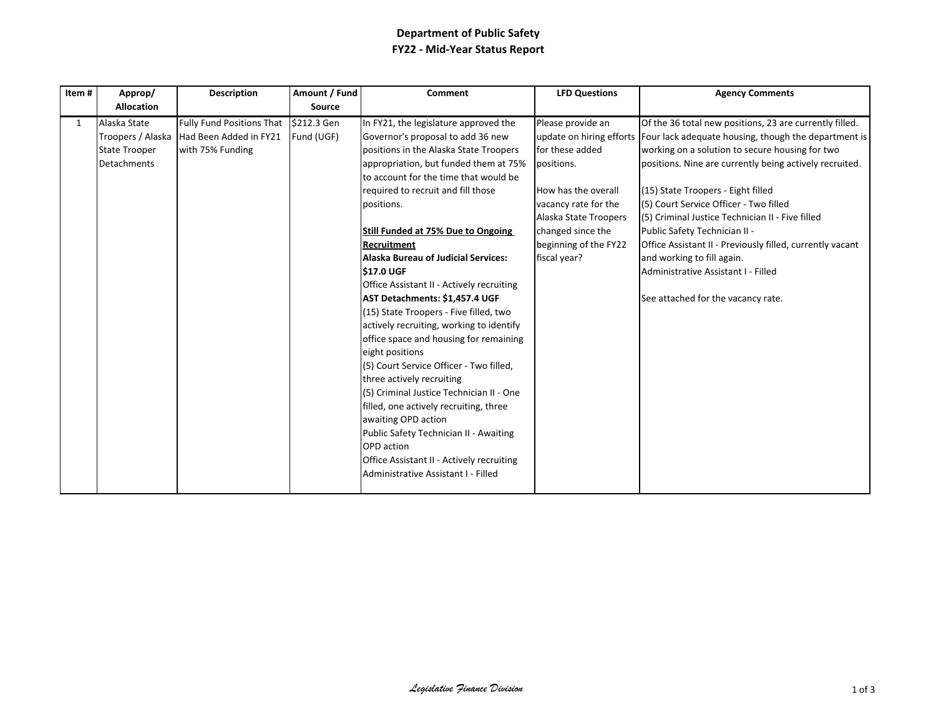## **Department of Public Safety** FY22 - Mid-Year Status Report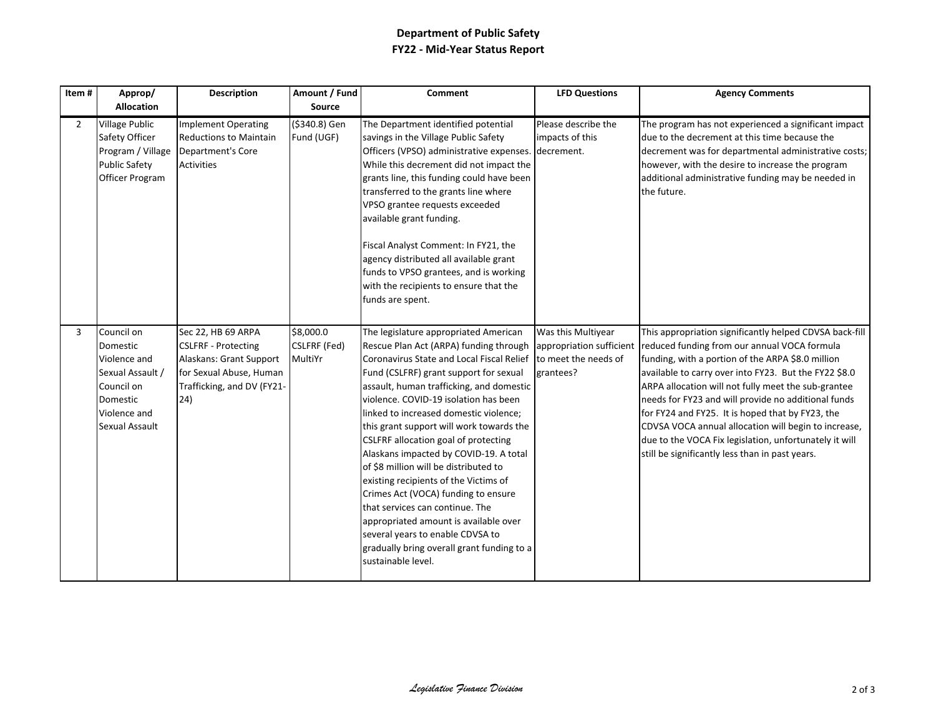## **Department of Public Safety** FY22 - Mid-Year Status Report

| Item#          | Approp/<br><b>Allocation</b>                                                                                           | <b>Description</b>                                                                                                                          | Amount / Fund<br>Source              | <b>Comment</b>                                                                                                                                                                                                                                                                                                                                                                                                                                                                                                                                                                                                                                                                                                                                   | <b>LFD Questions</b>                                                                | <b>Agency Comments</b>                                                                                                                                                                                                                                                                                                                                                                                                                                                                                                                                       |
|----------------|------------------------------------------------------------------------------------------------------------------------|---------------------------------------------------------------------------------------------------------------------------------------------|--------------------------------------|--------------------------------------------------------------------------------------------------------------------------------------------------------------------------------------------------------------------------------------------------------------------------------------------------------------------------------------------------------------------------------------------------------------------------------------------------------------------------------------------------------------------------------------------------------------------------------------------------------------------------------------------------------------------------------------------------------------------------------------------------|-------------------------------------------------------------------------------------|--------------------------------------------------------------------------------------------------------------------------------------------------------------------------------------------------------------------------------------------------------------------------------------------------------------------------------------------------------------------------------------------------------------------------------------------------------------------------------------------------------------------------------------------------------------|
|                |                                                                                                                        |                                                                                                                                             |                                      |                                                                                                                                                                                                                                                                                                                                                                                                                                                                                                                                                                                                                                                                                                                                                  |                                                                                     |                                                                                                                                                                                                                                                                                                                                                                                                                                                                                                                                                              |
| $\overline{2}$ | <b>Village Public</b><br>Safety Officer<br>Program / Village<br><b>Public Safety</b><br>Officer Program                | <b>Implement Operating</b><br><b>Reductions to Maintain</b><br>Department's Core<br><b>Activities</b>                                       | (\$340.8) Gen<br>Fund (UGF)          | The Department identified potential<br>savings in the Village Public Safety<br>Officers (VPSO) administrative expenses.<br>While this decrement did not impact the<br>grants line, this funding could have been<br>transferred to the grants line where<br>VPSO grantee requests exceeded<br>available grant funding.<br>Fiscal Analyst Comment: In FY21, the<br>agency distributed all available grant<br>funds to VPSO grantees, and is working<br>with the recipients to ensure that the<br>funds are spent.                                                                                                                                                                                                                                  | Please describe the<br>impacts of this<br>decrement.                                | The program has not experienced a significant impact<br>due to the decrement at this time because the<br>decrement was for departmental administrative costs;<br>however, with the desire to increase the program<br>additional administrative funding may be needed in<br>the future.                                                                                                                                                                                                                                                                       |
| 3              | Council on<br>Domestic<br>Violence and<br>Sexual Assault /<br>Council on<br>Domestic<br>Violence and<br>Sexual Assault | Sec 22, HB 69 ARPA<br><b>CSLFRF - Protecting</b><br>Alaskans: Grant Support<br>for Sexual Abuse, Human<br>Trafficking, and DV (FY21-<br>24) | \$8,000.0<br>CSLFRF (Fed)<br>MultiYr | The legislature appropriated American<br>Rescue Plan Act (ARPA) funding through<br>Coronavirus State and Local Fiscal Relief<br>Fund (CSLFRF) grant support for sexual<br>assault, human trafficking, and domestic<br>violence. COVID-19 isolation has been<br>linked to increased domestic violence;<br>this grant support will work towards the<br>CSLFRF allocation goal of protecting<br>Alaskans impacted by COVID-19. A total<br>of \$8 million will be distributed to<br>existing recipients of the Victims of<br>Crimes Act (VOCA) funding to ensure<br>that services can continue. The<br>appropriated amount is available over<br>several years to enable CDVSA to<br>gradually bring overall grant funding to a<br>sustainable level. | Was this Multiyear<br>appropriation sufficient<br>to meet the needs of<br>grantees? | This appropriation significantly helped CDVSA back-fill<br>reduced funding from our annual VOCA formula<br>funding, with a portion of the ARPA \$8.0 million<br>available to carry over into FY23. But the FY22 \$8.0<br>ARPA allocation will not fully meet the sub-grantee<br>needs for FY23 and will provide no additional funds<br>for FY24 and FY25. It is hoped that by FY23, the<br>CDVSA VOCA annual allocation will begin to increase,<br>due to the VOCA Fix legislation, unfortunately it will<br>still be significantly less than in past years. |